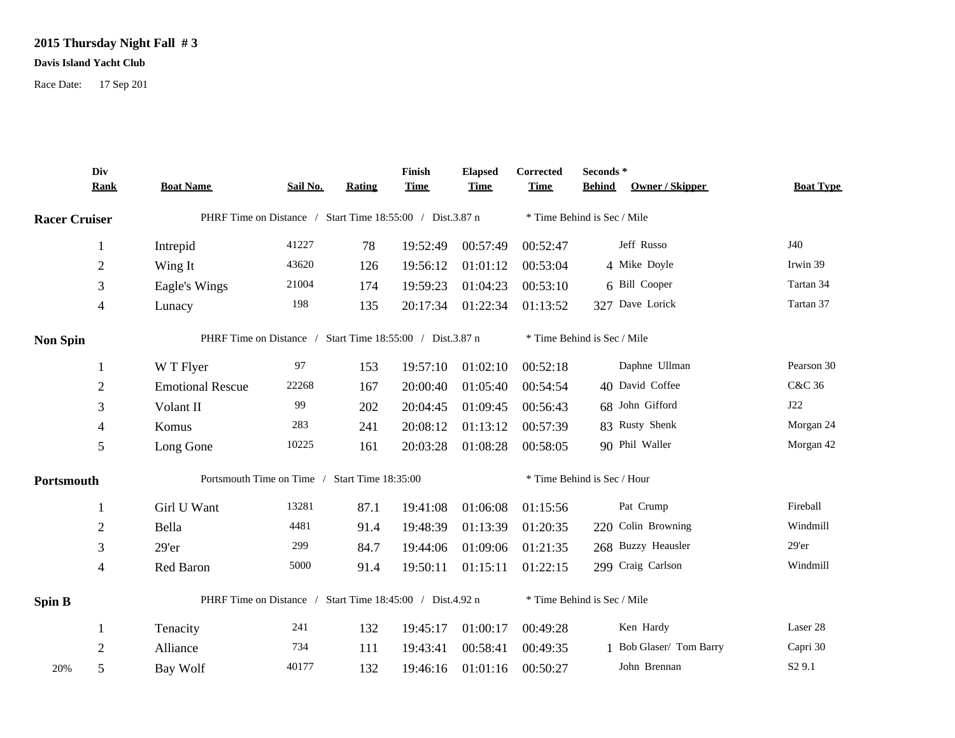## **2015 Thursday Night Fall # 3**

## **Davis Island Yacht Club**

Race Date: 17 Sep 201

|                      | Div<br><b>Rank</b> | <b>Boat Name</b>                                          | Sail No. | Rating | Finish<br><b>Time</b> | <b>Elapsed</b><br><b>Time</b> | Corrected<br><b>Time</b> | Seconds*<br>Owner / Skipper<br><b>Behind</b> | <b>Boat Type</b>   |  |
|----------------------|--------------------|-----------------------------------------------------------|----------|--------|-----------------------|-------------------------------|--------------------------|----------------------------------------------|--------------------|--|
| <b>Racer Cruiser</b> |                    | PHRF Time on Distance / Start Time 18:55:00 / Dist.3.87 n |          |        |                       |                               |                          | * Time Behind is Sec / Mile                  |                    |  |
|                      | 1                  | Intrepid                                                  | 41227    | 78     | 19:52:49              | 00:57:49                      | 00:52:47                 | Jeff Russo                                   | J40                |  |
|                      | $\boldsymbol{2}$   | Wing It                                                   | 43620    | 126    | 19:56:12              | 01:01:12                      | 00:53:04                 | 4 Mike Doyle                                 | Irwin 39           |  |
|                      | 3                  | Eagle's Wings                                             | 21004    | 174    | 19:59:23              | 01:04:23                      | 00:53:10                 | 6 Bill Cooper                                | Tartan 34          |  |
|                      | $\overline{4}$     | Lunacy                                                    | 198      | 135    | 20:17:34              | 01:22:34                      | 01:13:52                 | 327 Dave Lorick                              | Tartan 37          |  |
| <b>Non Spin</b>      |                    | PHRF Time on Distance / Start Time 18:55:00 / Dist.3.87 n |          |        |                       |                               |                          | * Time Behind is Sec / Mile                  |                    |  |
|                      | $\mathbf{1}$       | W T Flyer                                                 | 97       | 153    | 19:57:10              | 01:02:10                      | 00:52:18                 | Daphne Ullman                                | Pearson 30         |  |
|                      | $\overline{2}$     | <b>Emotional Rescue</b>                                   | 22268    | 167    | 20:00:40              | 01:05:40                      | 00:54:54                 | 40 David Coffee                              | <b>C&amp;C 36</b>  |  |
|                      | 3                  | Volant II                                                 | 99       | 202    | 20:04:45              | 01:09:45                      | 00:56:43                 | 68 John Gifford                              | J22                |  |
|                      | $\overline{4}$     | Komus                                                     | 283      | 241    | 20:08:12              | 01:13:12                      | 00:57:39                 | 83 Rusty Shenk                               | Morgan 24          |  |
|                      | 5                  | Long Gone                                                 | 10225    | 161    | 20:03:28              | 01:08:28                      | 00:58:05                 | 90 Phil Waller                               | Morgan 42          |  |
| Portsmouth           |                    | Portsmouth Time on Time / Start Time 18:35:00             |          |        |                       |                               |                          | * Time Behind is Sec / Hour                  |                    |  |
|                      | 1                  | Girl U Want                                               | 13281    | 87.1   | 19:41:08              | 01:06:08                      | 01:15:56                 | Pat Crump                                    | Fireball           |  |
|                      | $\overline{c}$     | Bella                                                     | 4481     | 91.4   | 19:48:39              | 01:13:39                      | 01:20:35                 | 220 Colin Browning                           | Windmill           |  |
|                      | 3                  | 29'er                                                     | 299      | 84.7   | 19:44:06              | 01:09:06                      | 01:21:35                 | 268 Buzzy Heausler                           | 29'er              |  |
|                      | 4                  | Red Baron                                                 | 5000     | 91.4   | 19:50:11              | 01:15:11                      | 01:22:15                 | 299 Craig Carlson                            | Windmill           |  |
| Spin B               |                    | PHRF Time on Distance / Start Time 18:45:00 / Dist.4.92 n |          |        |                       |                               |                          | * Time Behind is Sec / Mile                  |                    |  |
|                      | 1                  | Tenacity                                                  | 241      | 132    | 19:45:17              | 01:00:17                      | 00:49:28                 | Ken Hardy                                    | Laser 28           |  |
|                      | $\overline{2}$     | Alliance                                                  | 734      | 111    | 19:43:41              | 00:58:41                      | 00:49:35                 | 1 Bob Glaser/ Tom Barry                      | Capri 30           |  |
| 20%                  | 5                  | Bay Wolf                                                  | 40177    | 132    | 19:46:16              | 01:01:16                      | 00:50:27                 | John Brennan                                 | S <sub>2</sub> 9.1 |  |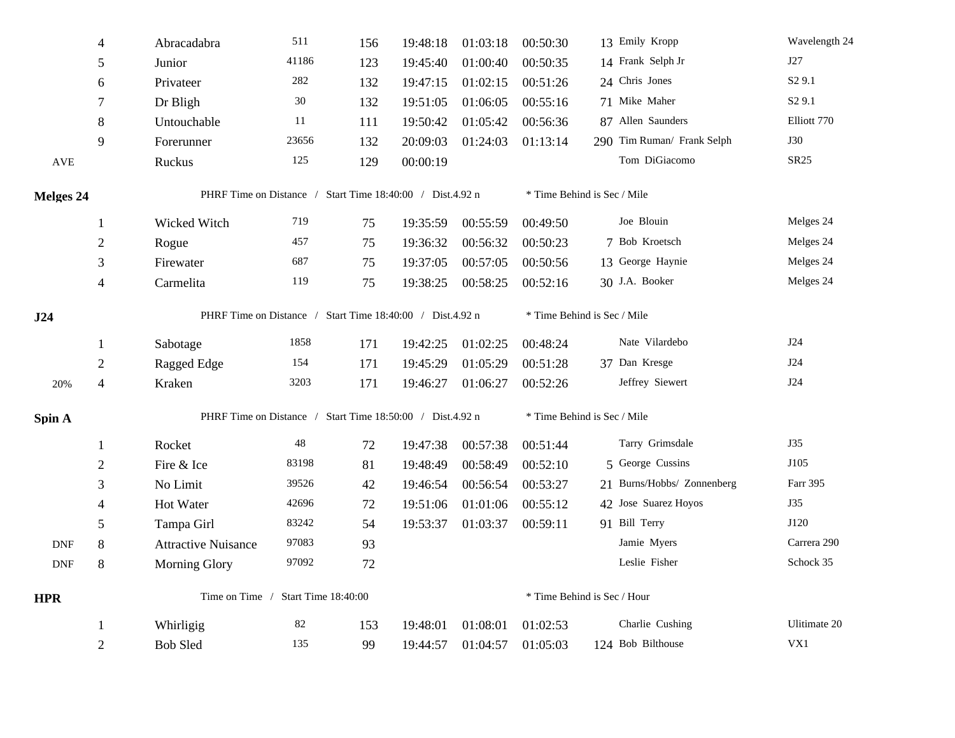|                             | $\overline{4}$   | Abracadabra                                               | 511    | 156 | 19:48:18 | 01:03:18 | 00:50:30                    | 13 Emily Kropp              | Wavelength 24      |  |  |
|-----------------------------|------------------|-----------------------------------------------------------|--------|-----|----------|----------|-----------------------------|-----------------------------|--------------------|--|--|
|                             | 5                | Junior                                                    | 41186  | 123 | 19:45:40 | 01:00:40 | 00:50:35                    | 14 Frank Selph Jr           | J27                |  |  |
|                             | $\sqrt{6}$       | Privateer                                                 | 282    | 132 | 19:47:15 | 01:02:15 | 00:51:26                    | 24 Chris Jones              | S <sub>2</sub> 9.1 |  |  |
|                             | 7                | Dr Bligh                                                  | $30\,$ | 132 | 19:51:05 | 01:06:05 | 00:55:16                    | 71 Mike Maher               | S <sub>2</sub> 9.1 |  |  |
|                             | $8\,$            | Untouchable                                               | 11     | 111 | 19:50:42 | 01:05:42 | 00:56:36                    | 87 Allen Saunders           | Elliott 770        |  |  |
|                             | 9                | Forerunner                                                | 23656  | 132 | 20:09:03 | 01:24:03 | 01:13:14                    | 290 Tim Ruman/ Frank Selph  | <b>J30</b>         |  |  |
| <b>AVE</b>                  |                  | Ruckus                                                    | 125    | 129 | 00:00:19 |          |                             | Tom DiGiacomo               | SR25               |  |  |
| <b>Melges 24</b>            |                  | PHRF Time on Distance / Start Time 18:40:00 / Dist.4.92 n |        |     |          |          | * Time Behind is Sec / Mile |                             |                    |  |  |
|                             | $\mathbf{1}$     | Wicked Witch                                              | 719    | 75  | 19:35:59 | 00:55:59 | 00:49:50                    | Joe Blouin                  | Melges 24          |  |  |
|                             | $\overline{2}$   | Rogue                                                     | 457    | 75  | 19:36:32 | 00:56:32 | 00:50:23                    | 7 Bob Kroetsch              | Melges 24          |  |  |
|                             | $\mathfrak{Z}$   | Firewater                                                 | 687    | 75  | 19:37:05 | 00:57:05 | 00:50:56                    | 13 George Haynie            | Melges 24          |  |  |
|                             | 4                | Carmelita                                                 | 119    | 75  | 19:38:25 | 00:58:25 | 00:52:16                    | 30 J.A. Booker              | Melges 24          |  |  |
| J24                         |                  | PHRF Time on Distance / Start Time 18:40:00 / Dist.4.92 n |        |     |          |          | * Time Behind is Sec / Mile |                             |                    |  |  |
|                             | $\mathbf{1}$     | Sabotage                                                  | 1858   | 171 | 19:42:25 | 01:02:25 | 00:48:24                    | Nate Vilardebo              | J24                |  |  |
|                             | $\boldsymbol{2}$ | Ragged Edge                                               | 154    | 171 | 19:45:29 | 01:05:29 | 00:51:28                    | 37 Dan Kresge               | J24                |  |  |
| 20%                         | 4                | Kraken                                                    | 3203   | 171 | 19:46:27 | 01:06:27 | 00:52:26                    | Jeffrey Siewert             | J24                |  |  |
| Spin A                      |                  | PHRF Time on Distance / Start Time 18:50:00 / Dist.4.92 n |        |     |          |          | * Time Behind is Sec / Mile |                             |                    |  |  |
|                             | 1                | Rocket                                                    | 48     | 72  | 19:47:38 | 00:57:38 | 00:51:44                    | Tarry Grimsdale             | J35                |  |  |
|                             | $\overline{2}$   | Fire & Ice                                                | 83198  | 81  | 19:48:49 | 00:58:49 | 00:52:10                    | 5 George Cussins            | J105               |  |  |
|                             | 3                | No Limit                                                  | 39526  | 42  | 19:46:54 | 00:56:54 | 00:53:27                    | 21 Burns/Hobbs/ Zonnenberg  | Farr 395           |  |  |
|                             | $\overline{4}$   | Hot Water                                                 | 42696  | 72  | 19:51:06 | 01:01:06 | 00:55:12                    | 42 Jose Suarez Hoyos        | J35                |  |  |
|                             | 5                | Tampa Girl                                                | 83242  | 54  | 19:53:37 | 01:03:37 | 00:59:11                    | 91 Bill Terry               | J120               |  |  |
| <b>DNF</b>                  | $8\,$            | <b>Attractive Nuisance</b>                                | 97083  | 93  |          |          |                             | Jamie Myers                 | Carrera 290        |  |  |
| $\ensuremath{\mathsf{DNF}}$ | $8\,$            | <b>Morning Glory</b>                                      | 97092  | 72  |          |          |                             | Leslie Fisher               | Schock 35          |  |  |
| <b>HPR</b>                  |                  | Time on Time /<br>Start Time 18:40:00                     |        |     |          |          |                             | * Time Behind is Sec / Hour |                    |  |  |
|                             | -1               | Whirligig                                                 | $82\,$ | 153 | 19:48:01 | 01:08:01 | 01:02:53                    | Charlie Cushing             | Ulitimate 20       |  |  |
|                             | $\overline{2}$   | <b>Bob Sled</b>                                           | 135    | 99  | 19:44:57 | 01:04:57 | 01:05:03                    | 124 Bob Bilthouse           | VX1                |  |  |